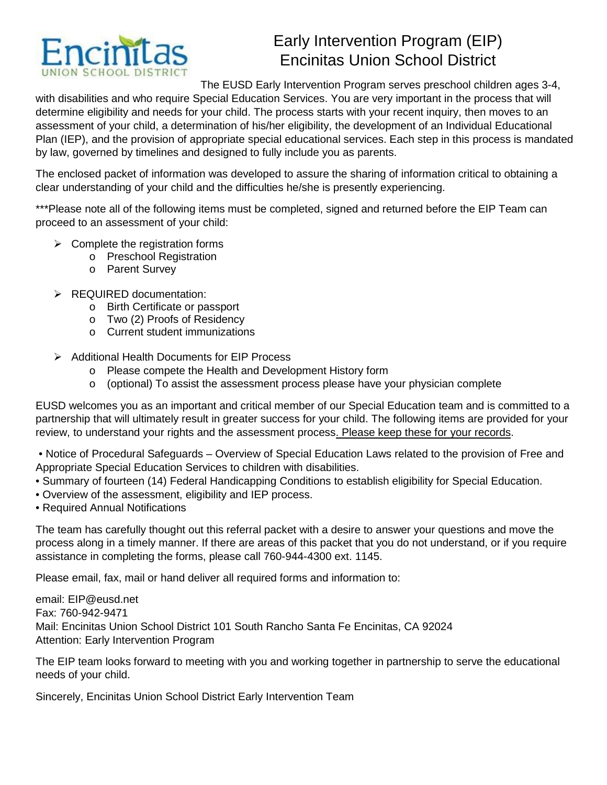

# Early Intervention Program (EIP) Encinitas Union School District

The EUSD Early Intervention Program serves preschool children ages 3-4,

with disabilities and who require Special Education Services. You are very important in the process that will determine eligibility and needs for your child. The process starts with your recent inquiry, then moves to an assessment of your child, a determination of his/her eligibility, the development of an Individual Educational Plan (IEP), and the provision of appropriate special educational services. Each step in this process is mandated by law, governed by timelines and designed to fully include you as parents.

The enclosed packet of information was developed to assure the sharing of information critical to obtaining a clear understanding of your child and the difficulties he/she is presently experiencing.

\*\*\*Please note all of the following items must be completed, signed and returned before the EIP Team can proceed to an assessment of your child:

- $\triangleright$  Complete the registration forms
	- o Preschool Registration
	- o Parent Survey
- **EQUIRED documentation:** 
	- o Birth Certificate or passport
	- o Two (2) Proofs of Residency
	- o Current student immunizations
- Additional Health Documents for EIP Process
	- o Please compete the Health and Development History form
	- $\circ$  (optional) To assist the assessment process please have your physician complete

EUSD welcomes you as an important and critical member of our Special Education team and is committed to a partnership that will ultimately result in greater success for your child. The following items are provided for your review, to understand your rights and the assessment process. Please keep these for your records.

• Notice of Procedural Safeguards – Overview of Special Education Laws related to the provision of Free and Appropriate Special Education Services to children with disabilities.

- Summary of fourteen (14) Federal Handicapping Conditions to establish eligibility for Special Education.
- Overview of the assessment, eligibility and IEP process.
- Required Annual Notifications

The team has carefully thought out this referral packet with a desire to answer your questions and move the process along in a timely manner. If there are areas of this packet that you do not understand, or if you require assistance in completing the forms, please call 760-944-4300 ext. 1145.

Please email, fax, mail or hand deliver all required forms and information to:

email: EIP@eusd.net Fax: 760-942-9471 Mail: Encinitas Union School District 101 South Rancho Santa Fe Encinitas, CA 92024 Attention: Early Intervention Program

The EIP team looks forward to meeting with you and working together in partnership to serve the educational needs of your child.

Sincerely, Encinitas Union School District Early Intervention Team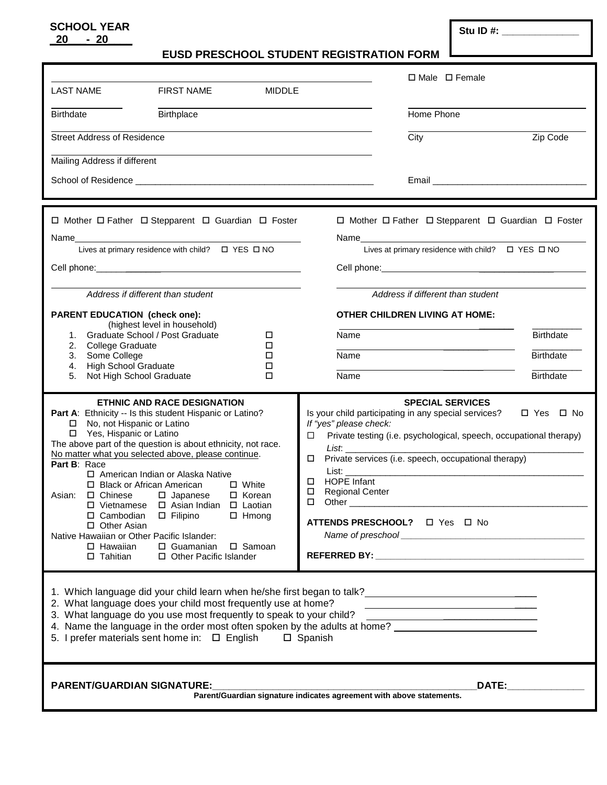## **SCHOOL YEAR SCHOOL YEAR SCHOOL YEAR \_20\_\_\_- 20\_\_\_\_**

 **EUSD PRESCHOOL STUDENT REGISTRATION FORM** 

|                                                                                                                                                                                                                                                                                                                                                                                                                                                                                                                                                                                                                         |                                                                                  | □ Male □ Female                                                                                                                                                                                                                                                                                                                                                                                                                                               |                  |
|-------------------------------------------------------------------------------------------------------------------------------------------------------------------------------------------------------------------------------------------------------------------------------------------------------------------------------------------------------------------------------------------------------------------------------------------------------------------------------------------------------------------------------------------------------------------------------------------------------------------------|----------------------------------------------------------------------------------|---------------------------------------------------------------------------------------------------------------------------------------------------------------------------------------------------------------------------------------------------------------------------------------------------------------------------------------------------------------------------------------------------------------------------------------------------------------|------------------|
| <b>LAST NAME</b><br><b>FIRST NAME</b>                                                                                                                                                                                                                                                                                                                                                                                                                                                                                                                                                                                   | <b>MIDDLE</b>                                                                    |                                                                                                                                                                                                                                                                                                                                                                                                                                                               |                  |
| Birthplace<br><b>Birthdate</b>                                                                                                                                                                                                                                                                                                                                                                                                                                                                                                                                                                                          |                                                                                  | Home Phone                                                                                                                                                                                                                                                                                                                                                                                                                                                    |                  |
| <b>Street Address of Residence</b>                                                                                                                                                                                                                                                                                                                                                                                                                                                                                                                                                                                      |                                                                                  | City                                                                                                                                                                                                                                                                                                                                                                                                                                                          | Zip Code         |
| Mailing Address if different                                                                                                                                                                                                                                                                                                                                                                                                                                                                                                                                                                                            |                                                                                  |                                                                                                                                                                                                                                                                                                                                                                                                                                                               |                  |
|                                                                                                                                                                                                                                                                                                                                                                                                                                                                                                                                                                                                                         |                                                                                  |                                                                                                                                                                                                                                                                                                                                                                                                                                                               |                  |
|                                                                                                                                                                                                                                                                                                                                                                                                                                                                                                                                                                                                                         |                                                                                  |                                                                                                                                                                                                                                                                                                                                                                                                                                                               |                  |
| □ Mother □ Father □ Stepparent □ Guardian □ Foster                                                                                                                                                                                                                                                                                                                                                                                                                                                                                                                                                                      |                                                                                  | □ Mother □ Father □ Stepparent □ Guardian □ Foster                                                                                                                                                                                                                                                                                                                                                                                                            |                  |
|                                                                                                                                                                                                                                                                                                                                                                                                                                                                                                                                                                                                                         |                                                                                  |                                                                                                                                                                                                                                                                                                                                                                                                                                                               |                  |
|                                                                                                                                                                                                                                                                                                                                                                                                                                                                                                                                                                                                                         |                                                                                  |                                                                                                                                                                                                                                                                                                                                                                                                                                                               |                  |
|                                                                                                                                                                                                                                                                                                                                                                                                                                                                                                                                                                                                                         |                                                                                  |                                                                                                                                                                                                                                                                                                                                                                                                                                                               |                  |
| Address if different than student                                                                                                                                                                                                                                                                                                                                                                                                                                                                                                                                                                                       |                                                                                  | Address if different than student                                                                                                                                                                                                                                                                                                                                                                                                                             |                  |
| <b>PARENT EDUCATION (check one):</b>                                                                                                                                                                                                                                                                                                                                                                                                                                                                                                                                                                                    |                                                                                  | <b>OTHER CHILDREN LIVING AT HOME:</b>                                                                                                                                                                                                                                                                                                                                                                                                                         |                  |
| (highest level in household)<br>1. Graduate School / Post Graduate                                                                                                                                                                                                                                                                                                                                                                                                                                                                                                                                                      | □                                                                                | Name                                                                                                                                                                                                                                                                                                                                                                                                                                                          | <b>Birthdate</b> |
| College Graduate<br>2.<br>Some College<br>3.                                                                                                                                                                                                                                                                                                                                                                                                                                                                                                                                                                            | □<br>□                                                                           | Name                                                                                                                                                                                                                                                                                                                                                                                                                                                          | <b>Birthdate</b> |
| <b>High School Graduate</b><br>4.                                                                                                                                                                                                                                                                                                                                                                                                                                                                                                                                                                                       | □                                                                                |                                                                                                                                                                                                                                                                                                                                                                                                                                                               |                  |
| Not High School Graduate<br>5.                                                                                                                                                                                                                                                                                                                                                                                                                                                                                                                                                                                          | □                                                                                | Name                                                                                                                                                                                                                                                                                                                                                                                                                                                          | <b>Birthdate</b> |
| ETHNIC AND RACE DESIGNATION<br>Part A: Ethnicity -- Is this student Hispanic or Latino?<br>□ No, not Hispanic or Latino<br>Yes, Hispanic or Latino<br>The above part of the question is about ethnicity, not race.<br>No matter what you selected above, please continue.<br>Part B: Race<br>□ American Indian or Alaska Native<br>□ Black or African American<br>$\Box$ Chinese<br>Asian:<br>$\square$ Japanese<br>□ Vietnamese □ Asian Indian □ Laotian<br>□ Cambodian<br>$\square$ Filipino<br>□ Other Asian<br>Native Hawaiian or Other Pacific Islander:<br>$\Box$ Hawaiian<br>$\Box$ Guamanian<br>$\Box$ Tahitian | $\Box$ White<br>□ Korean<br>$\Box$ Hmong<br>□ Samoan<br>□ Other Pacific Islander | <b>SPECIAL SERVICES</b><br>Is your child participating in any special services?<br>If "yes" please check:<br>Private testing (i.e. psychological, speech, occupational therapy)<br>◻<br>List. And the contract of the contract of the contract of the contract of the contract of the contract of the c<br>Private services (i.e. speech, occupational therapy)<br>□<br><b>HOPE Infant</b><br>□<br>$\Box$<br><b>Regional Center</b><br>□                      | □ Yes □ No       |
| 2. What language does your child most frequently use at home?<br>3. What language do you use most frequently to speak to your child?<br>5. I prefer materials sent home in: $\Box$ English                                                                                                                                                                                                                                                                                                                                                                                                                              |                                                                                  | 1. Which language did your child learn when he/she first began to talk?<br>1. Which language did your child learn when he/she first began to talk?<br><u> 1980 - Jan Salaman, mangalang pangangang pangangang pangangang pangangang pangangang pang</u><br>3. What language do you use most frequently to speak to your child?<br>4. Name the language in the order most often spoken by the adults at home? ___________________________________<br>□ Spanish |                  |
| <b>PARENT/GUARDIAN SIGNATURE:</b>                                                                                                                                                                                                                                                                                                                                                                                                                                                                                                                                                                                       |                                                                                  | <b>DATE:</b><br>Parent/Guardian signature indicates agreement with above statements.                                                                                                                                                                                                                                                                                                                                                                          |                  |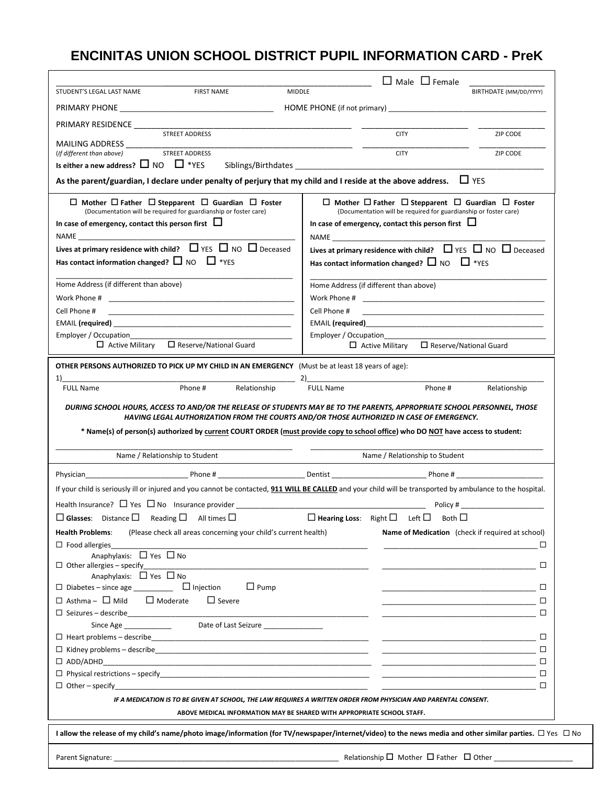# **ENCINITAS UNION SCHOOL DISTRICT PUPIL INFORMATION CARD - PreK**

|                                                                                                                                                                                                                                                                                                               | $\Box$ Male $\Box$ Female                                                                                                             |                               |
|---------------------------------------------------------------------------------------------------------------------------------------------------------------------------------------------------------------------------------------------------------------------------------------------------------------|---------------------------------------------------------------------------------------------------------------------------------------|-------------------------------|
| <b>MIDDLE</b><br>STUDENT'S LEGAL LAST NAME<br><b>FIRST NAME</b>                                                                                                                                                                                                                                               |                                                                                                                                       | BIRTHDATE (MM/DD/YYYY)        |
|                                                                                                                                                                                                                                                                                                               |                                                                                                                                       |                               |
| PRIMARY RESIDENCE ___________                                                                                                                                                                                                                                                                                 |                                                                                                                                       |                               |
| STREET ADDRESS                                                                                                                                                                                                                                                                                                | <b>CITY</b>                                                                                                                           | ZIP CODE                      |
| MAILING ADDRESS<br><b>STREET ADDRESS</b><br>(If different than above)                                                                                                                                                                                                                                         | <b>CITY</b>                                                                                                                           | ZIP CODE                      |
| Is either a new address? $\square$ NO $\square$ *YES                                                                                                                                                                                                                                                          | Siblings/Birthdates                                                                                                                   |                               |
| As the parent/guardian, I declare under penalty of perjury that my child and I reside at the above address. $\Box$ YES                                                                                                                                                                                        |                                                                                                                                       |                               |
| $\Box$ Mother $\Box$ Father $\Box$ Stepparent $\Box$ Guardian $\Box$ Foster                                                                                                                                                                                                                                   | $\Box$ Mother $\Box$ Father $\Box$ Stepparent $\Box$ Guardian $\Box$ Foster                                                           |                               |
| (Documentation will be required for guardianship or foster care)                                                                                                                                                                                                                                              | (Documentation will be required for guardianship or foster care)                                                                      |                               |
| In case of emergency, contact this person first $\Box$                                                                                                                                                                                                                                                        | In case of emergency, contact this person first $\Box$                                                                                |                               |
| NAME And the state of the state of the state of the state of the state of the state of the state of the state of the state of the state of the state of the state of the state of the state of the state of the state of the s<br>Lives at primary residence with child? $\Box$ YES $\Box$ NO $\Box$ Deceased | NAME <b>NAME</b>                                                                                                                      |                               |
| Has contact information changed? $\Box$ NO $\Box$ *YES                                                                                                                                                                                                                                                        | Lives at primary residence with child? $\Box$ YES $\Box$ NO $\Box$ Deceased<br>Has contact information changed? $\Box$ NO $\Box$ *YES |                               |
| Home Address (if different than above)                                                                                                                                                                                                                                                                        | Home Address (if different than above)                                                                                                |                               |
|                                                                                                                                                                                                                                                                                                               |                                                                                                                                       |                               |
| Cell Phone #                                                                                                                                                                                                                                                                                                  | Cell Phone #<br><u> 1989 - Johann John Stone, markin film yn y brening yn y brening yn y brening yn y brening y brening yn y bre</u>  |                               |
|                                                                                                                                                                                                                                                                                                               | EMAIL (required) <b>EMAIL</b>                                                                                                         |                               |
| Employer / Occupation<br>$\Box$ Active Military<br>$\Box$ Reserve/National Guard                                                                                                                                                                                                                              | Employer / Occupation<br>$\Box$ Active Military                                                                                       | $\Box$ Reserve/National Guard |
|                                                                                                                                                                                                                                                                                                               |                                                                                                                                       |                               |
| <b>OTHER PERSONS AUTHORIZED TO PICK UP MY CHILD IN AN EMERGENCY</b> (Must be at least 18 years of age):                                                                                                                                                                                                       |                                                                                                                                       |                               |
| 1)<br>Phone #<br><b>FULL Name</b><br>Relationship                                                                                                                                                                                                                                                             | <b>FULL Name</b><br>Phone #                                                                                                           | Relationship                  |
|                                                                                                                                                                                                                                                                                                               |                                                                                                                                       |                               |
| DURING SCHOOL HOURS, ACCESS TO AND/OR THE RELEASE OF STUDENTS MAY BE TO THE PARENTS, APPROPRIATE SCHOOL PERSONNEL, THOSE<br>HAVING LEGAL AUTHORIZATION FROM THE COURTS AND/OR THOSE AUTHORIZED IN CASE OF EMERGENCY.                                                                                          |                                                                                                                                       |                               |
| * Name(s) of person(s) authorized by current COURT ORDER (must provide copy to school office) who DO NOT have access to student:                                                                                                                                                                              |                                                                                                                                       |                               |
|                                                                                                                                                                                                                                                                                                               |                                                                                                                                       |                               |
| Name / Relationship to Student                                                                                                                                                                                                                                                                                | Name / Relationship to Student                                                                                                        |                               |
| Phone # Dentist Dentist Dentity Dentity Phone #<br>Physician                                                                                                                                                                                                                                                  |                                                                                                                                       |                               |
| If your child is seriously ill or injured and you cannot be contacted, 911 WILL BE CALLED and your child will be transported by ambulance to the hospital.                                                                                                                                                    |                                                                                                                                       |                               |
|                                                                                                                                                                                                                                                                                                               |                                                                                                                                       | Policy #                      |
| $\Box$ Glasses: Distance $\Box$ Reading $\Box$ All times $\Box$                                                                                                                                                                                                                                               | $\Box$ Hearing Loss: Right $\Box$ Left $\Box$<br>Both $\Box$                                                                          |                               |
| <b>Health Problems:</b><br>(Please check all areas concerning your child's current health)                                                                                                                                                                                                                    | Name of Medication (check if required at school)                                                                                      |                               |
| $\Box$ Food allergies                                                                                                                                                                                                                                                                                         |                                                                                                                                       | $\Box$                        |
| Anaphylaxis: $\Box$ Yes $\Box$ No                                                                                                                                                                                                                                                                             |                                                                                                                                       |                               |
| $\Box$ Other allergies - specify<br>Anaphylaxis: □ Yes □ No                                                                                                                                                                                                                                                   | the control of the control of the control of the control of                                                                           |                               |
| $\Box$ Pump                                                                                                                                                                                                                                                                                                   |                                                                                                                                       |                               |
| $\Box$ Asthma - $\Box$ Mild $\Box$ Moderate<br>$\Box$ Severe                                                                                                                                                                                                                                                  |                                                                                                                                       |                               |
|                                                                                                                                                                                                                                                                                                               |                                                                                                                                       |                               |
| Since Age ________________________Date of Last Seizure _________________________                                                                                                                                                                                                                              |                                                                                                                                       |                               |
|                                                                                                                                                                                                                                                                                                               |                                                                                                                                       |                               |
|                                                                                                                                                                                                                                                                                                               |                                                                                                                                       |                               |
| $\Box$ ADD/ADHD                                                                                                                                                                                                                                                                                               |                                                                                                                                       |                               |
|                                                                                                                                                                                                                                                                                                               |                                                                                                                                       | $\Box$                        |
|                                                                                                                                                                                                                                                                                                               |                                                                                                                                       | $\Box$                        |
| IF A MEDICATION IS TO BE GIVEN AT SCHOOL, THE LAW REQUIRES A WRITTEN ORDER FROM PHYSICIAN AND PARENTAL CONSENT.                                                                                                                                                                                               | ABOVE MEDICAL INFORMATION MAY BE SHARED WITH APPROPRIATE SCHOOL STAFF.                                                                |                               |
|                                                                                                                                                                                                                                                                                                               |                                                                                                                                       |                               |
| I allow the release of my child's name/photo image/information (for TV/newspaper/internet/video) to the news media and other similar parties. $\Box$ Yes $\Box$ No                                                                                                                                            |                                                                                                                                       |                               |
|                                                                                                                                                                                                                                                                                                               |                                                                                                                                       |                               |
|                                                                                                                                                                                                                                                                                                               | Relationship $\Box$ Mother $\Box$ Father $\Box$ Other ____________________                                                            |                               |

 $\overline{a}$ 

Г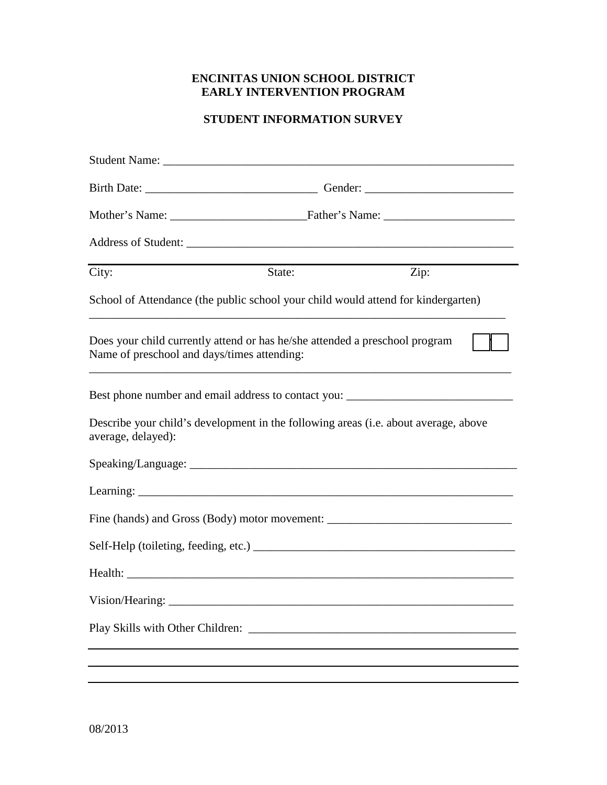# **ENCINITAS UNION SCHOOL DISTRICT EARLY INTERVENTION PROGRAM**

# **STUDENT INFORMATION SURVEY**

| City:                                                                                                                                                                                                                         | State: | Zip: |  |  |  |  |
|-------------------------------------------------------------------------------------------------------------------------------------------------------------------------------------------------------------------------------|--------|------|--|--|--|--|
| School of Attendance (the public school your child would attend for kindergarten)                                                                                                                                             |        |      |  |  |  |  |
| Does your child currently attend or has he/she attended a preschool program<br>Name of preschool and days/times attending:                                                                                                    |        |      |  |  |  |  |
| Best phone number and email address to contact you: ____________________________                                                                                                                                              |        |      |  |  |  |  |
| Describe your child's development in the following areas (i.e. about average, above<br>average, delayed):                                                                                                                     |        |      |  |  |  |  |
|                                                                                                                                                                                                                               |        |      |  |  |  |  |
|                                                                                                                                                                                                                               |        |      |  |  |  |  |
| Fine (hands) and Gross (Body) motor movement: ___________________________________                                                                                                                                             |        |      |  |  |  |  |
|                                                                                                                                                                                                                               |        |      |  |  |  |  |
| Health: The Company of the Company of the Company of the Company of the Company of the Company of the Company of the Company of the Company of the Company of the Company of the Company of the Company of the Company of the |        |      |  |  |  |  |
| Vision/Hearing:                                                                                                                                                                                                               |        |      |  |  |  |  |
| Play Skills with Other Children:                                                                                                                                                                                              |        |      |  |  |  |  |
|                                                                                                                                                                                                                               |        |      |  |  |  |  |
|                                                                                                                                                                                                                               |        |      |  |  |  |  |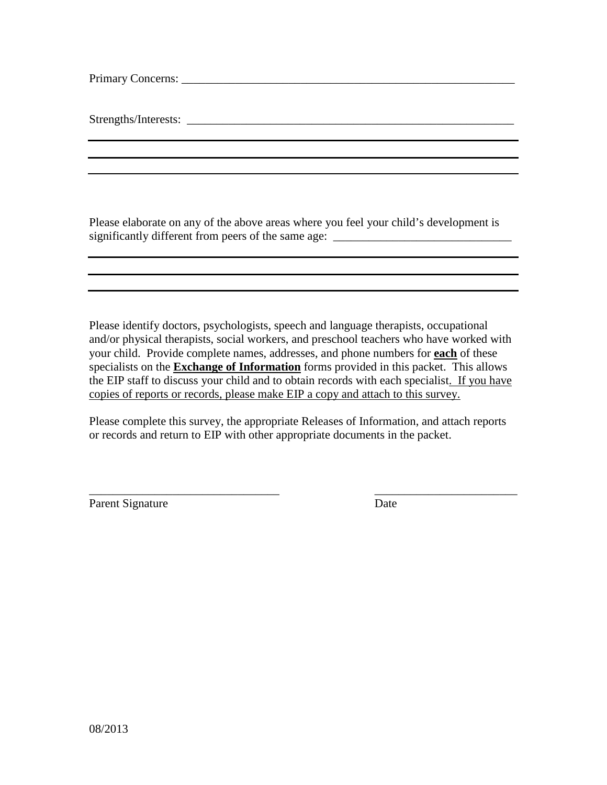Primary Concerns: \_\_\_\_\_\_\_\_\_\_\_\_\_\_\_\_\_\_\_\_\_\_\_\_\_\_\_\_\_\_\_\_\_\_\_\_\_\_\_\_\_\_\_\_\_\_\_\_\_\_\_\_\_\_\_\_

Strengths/Interests:

Please elaborate on any of the above areas where you feel your child's development is significantly different from peers of the same age: \_\_\_\_\_\_\_\_\_\_\_\_\_\_\_\_\_\_\_\_\_\_\_\_\_\_\_\_\_\_

Please identify doctors, psychologists, speech and language therapists, occupational and/or physical therapists, social workers, and preschool teachers who have worked with your child. Provide complete names, addresses, and phone numbers for **each** of these specialists on the **Exchange of Information** forms provided in this packet. This allows the EIP staff to discuss your child and to obtain records with each specialist. If you have copies of reports or records, please make EIP a copy and attach to this survey.

Please complete this survey, the appropriate Releases of Information, and attach reports or records and return to EIP with other appropriate documents in the packet.

\_\_\_\_\_\_\_\_\_\_\_\_\_\_\_\_\_\_\_\_\_\_\_\_\_\_\_\_\_\_\_\_ \_\_\_\_\_\_\_\_\_\_\_\_\_\_\_\_\_\_\_\_\_\_\_\_

Parent Signature Date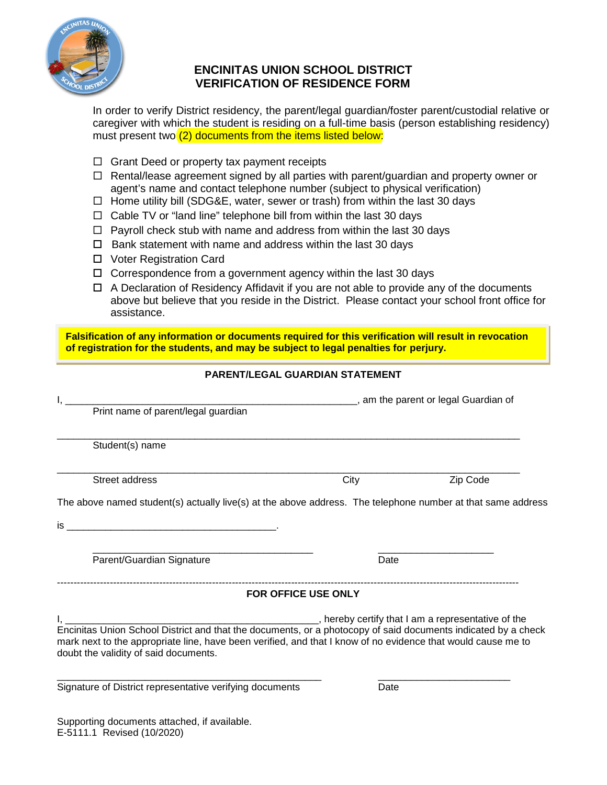

# **ENCINITAS UNION SCHOOL DISTRICT VERIFICATION OF RESIDENCE FORM**

In order to verify District residency, the parent/legal guardian/foster parent/custodial relative or caregiver with which the student is residing on a full-time basis (person establishing residency) must present two  $(2)$  documents from the items listed below:

- $\Box$  Grant Deed or property tax payment receipts
- $\Box$  Rental/lease agreement signed by all parties with parent/guardian and property owner or agent's name and contact telephone number (subject to physical verification)
- $\Box$  Home utility bill (SDG&E, water, sewer or trash) from within the last 30 days
- $\Box$  Cable TV or "land line" telephone bill from within the last 30 days
- $\Box$  Payroll check stub with name and address from within the last 30 days
- $\Box$  Bank statement with name and address within the last 30 days
- □ Voter Registration Card
- $\Box$  Correspondence from a government agency within the last 30 days
- $\Box$  A Declaration of Residency Affidavit if you are not able to provide any of the documents above but believe that you reside in the District. Please contact your school front office for assistance.

**Falsification of any information or documents required for this verification will result in revocation of registration for the students, and may be subject to legal penalties for perjury.**

### **PARENT/LEGAL GUARDIAN STATEMENT**

| Print name of parent/legal guardian                                                                                                                                                                                                                                    |                     |          |
|------------------------------------------------------------------------------------------------------------------------------------------------------------------------------------------------------------------------------------------------------------------------|---------------------|----------|
| Student(s) name                                                                                                                                                                                                                                                        |                     |          |
| Street address                                                                                                                                                                                                                                                         | City                | Zip Code |
| The above named student(s) actually live(s) at the above address. The telephone number at that same address                                                                                                                                                            |                     |          |
|                                                                                                                                                                                                                                                                        |                     |          |
|                                                                                                                                                                                                                                                                        |                     |          |
| Parent/Guardian Signature                                                                                                                                                                                                                                              | Date                |          |
|                                                                                                                                                                                                                                                                        | FOR OFFICE USE ONLY |          |
| Encinitas Union School District and that the documents, or a photocopy of said documents indicated by a check<br>mark next to the appropriate line, have been verified, and that I know of no evidence that would cause me to<br>doubt the validity of said documents. |                     |          |
| Signature of District representative verifying documents                                                                                                                                                                                                               | Date                |          |

Supporting documents attached, if available. E-5111.1 Revised (10/2020)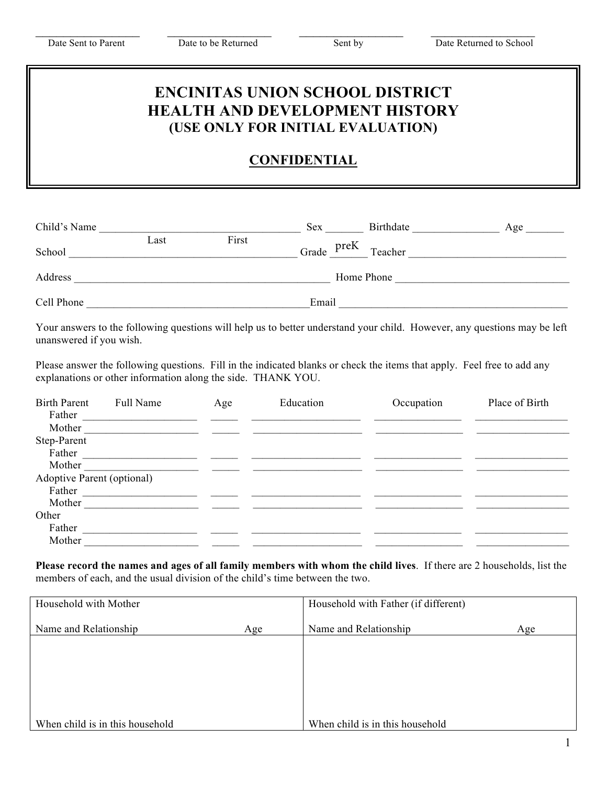Date Sent to Parent Date to be Returned Sent by Date Returned to School

# **ENCINITAS UNION SCHOOL DISTRICT HEALTH AND DEVELOPMENT HISTORY (USE ONLY FOR INITIAL EVALUATION)**

 $\_$  , and the contribution of  $\_$  , and  $\_$  , and  $\_$  , and  $\_$  , and  $\_$  , and  $\_$  , and  $\_$  , and  $\_$ 

# **CONFIDENTIAL**

| Child's Name |      |       | Sex   |            | Birthdate | Age |
|--------------|------|-------|-------|------------|-----------|-----|
| School       | Last | First | Grade | preK       | Teacher   |     |
| Address      |      |       |       | Home Phone |           |     |
| Cell Phone   |      |       | Email |            |           |     |

Your answers to the following questions will help us to better understand your child. However, any questions may be left unanswered if you wish.

Please answer the following questions. Fill in the indicated blanks or check the items that apply. Feel free to add any explanations or other information along the side. THANK YOU.

| <b>Birth Parent</b><br>Father | Full Name | Age | Education | Occupation | Place of Birth |
|-------------------------------|-----------|-----|-----------|------------|----------------|
| Mother                        |           |     |           |            |                |
| Step-Parent                   |           |     |           |            |                |
| Father                        |           |     |           |            |                |
| Mother                        |           |     |           |            |                |
| Adoptive Parent (optional)    |           |     |           |            |                |
| Father                        |           |     |           |            |                |
| Mother                        |           |     |           |            |                |
| Other                         |           |     |           |            |                |
| Father                        |           |     |           |            |                |
| Mother                        |           |     |           |            |                |

**Please record the names and ages of all family members with whom the child lives**. If there are 2 households, list the members of each, and the usual division of the child's time between the two.

| Household with Mother           |     | Household with Father (if different) |     |
|---------------------------------|-----|--------------------------------------|-----|
| Name and Relationship           | Age | Name and Relationship                | Age |
|                                 |     |                                      |     |
|                                 |     |                                      |     |
|                                 |     |                                      |     |
|                                 |     |                                      |     |
| When child is in this household |     | When child is in this household      |     |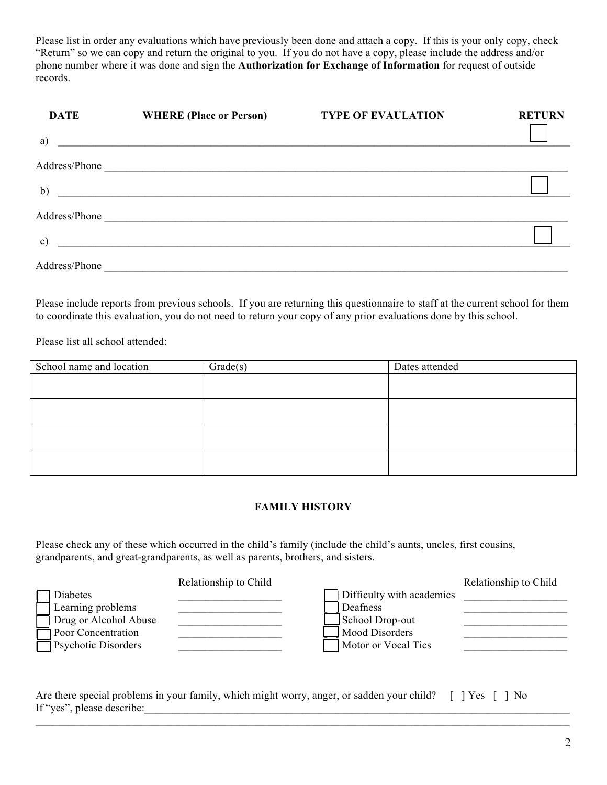Please list in order any evaluations which have previously been done and attach a copy. If this is your only copy, check "Return" so we can copy and return the original to you. If you do not have a copy, please include the address and/or phone number where it was done and sign the **Authorization for Exchange of Information** for request of outside records.

| <b>DATE</b>   | <b>WHERE (Place or Person)</b>                                                                                  | <b>TYPE OF EVAULATION</b> | <b>RETURN</b> |
|---------------|-----------------------------------------------------------------------------------------------------------------|---------------------------|---------------|
| a)            |                                                                                                                 |                           |               |
|               |                                                                                                                 |                           |               |
| b)            |                                                                                                                 |                           |               |
|               | Address/Phone 2008 2009 2009 2009 2009 2010 2020 2020 2021 2022 2021 2022 2021 2022 2022 2023 2024 2022 2022 20 |                           |               |
| $\mathbf{c})$ |                                                                                                                 |                           |               |
| Address/Phone | <u> 1989 - Johann Barn, fransk politik (f. 1989)</u>                                                            |                           |               |

Please include reports from previous schools. If you are returning this questionnaire to staff at the current school for them to coordinate this evaluation, you do not need to return your copy of any prior evaluations done by this school.

Please list all school attended:

| School name and location | Grade(s) | Dates attended |
|--------------------------|----------|----------------|
|                          |          |                |
|                          |          |                |
|                          |          |                |
|                          |          |                |
|                          |          |                |
|                          |          |                |
|                          |          |                |
|                          |          |                |

### **FAMILY HISTORY**

Please check any of these which occurred in the child's family (include the child's aunts, uncles, first cousins, grandparents, and great-grandparents, as well as parents, brothers, and sisters.

|                            | Relationship to Child |                           | Relationship to Child |
|----------------------------|-----------------------|---------------------------|-----------------------|
| Diabetes                   |                       | Difficulty with academics |                       |
| Learning problems          |                       | Deafness                  |                       |
| Drug or Alcohol Abuse      |                       | School Drop-out           |                       |
| Poor Concentration         |                       | Mood Disorders            |                       |
| <b>Psychotic Disorders</b> |                       | Motor or Vocal Tics       |                       |

 $\mathcal{L}_\mathcal{L} = \mathcal{L}_\mathcal{L} = \mathcal{L}_\mathcal{L} = \mathcal{L}_\mathcal{L} = \mathcal{L}_\mathcal{L} = \mathcal{L}_\mathcal{L} = \mathcal{L}_\mathcal{L} = \mathcal{L}_\mathcal{L} = \mathcal{L}_\mathcal{L} = \mathcal{L}_\mathcal{L} = \mathcal{L}_\mathcal{L} = \mathcal{L}_\mathcal{L} = \mathcal{L}_\mathcal{L} = \mathcal{L}_\mathcal{L} = \mathcal{L}_\mathcal{L} = \mathcal{L}_\mathcal{L} = \mathcal{L}_\mathcal{L}$ 

| Are there special problems in your family, which might worry, anger, or sadden your child? [ ] Yes [ ] No |  |
|-----------------------------------------------------------------------------------------------------------|--|
| If "yes", please describe:                                                                                |  |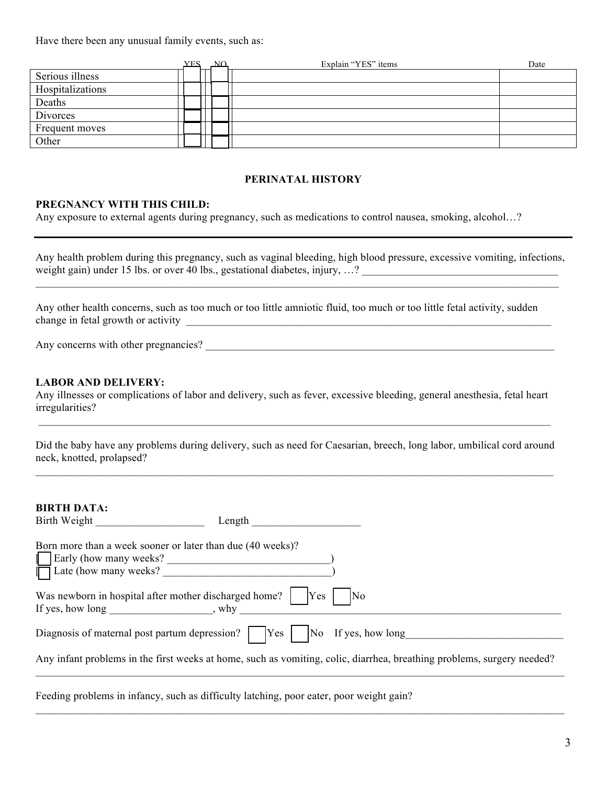Have there been any unusual family events, such as:

|                  |  | NΩ | Explain "YES" items | Date |
|------------------|--|----|---------------------|------|
| Serious illness  |  |    |                     |      |
| Hospitalizations |  |    |                     |      |
| Deaths           |  |    |                     |      |
| Divorces         |  |    |                     |      |
| Frequent moves   |  |    |                     |      |
| Other            |  |    |                     |      |

#### **PERINATAL HISTORY**

#### **PREGNANCY WITH THIS CHILD:**

Any exposure to external agents during pregnancy, such as medications to control nausea, smoking, alcohol…?

Any health problem during this pregnancy, such as vaginal bleeding, high blood pressure, excessive vomiting, infections, weight gain) under 15 lbs. or over 40 lbs., gestational diabetes, injury, …? \_\_\_\_\_\_\_\_\_\_\_\_\_\_\_\_\_\_\_\_\_\_\_\_\_\_\_\_\_\_\_\_\_\_\_\_  $\mathcal{L}_\mathcal{L} = \mathcal{L}_\mathcal{L} = \mathcal{L}_\mathcal{L} = \mathcal{L}_\mathcal{L} = \mathcal{L}_\mathcal{L} = \mathcal{L}_\mathcal{L} = \mathcal{L}_\mathcal{L} = \mathcal{L}_\mathcal{L} = \mathcal{L}_\mathcal{L} = \mathcal{L}_\mathcal{L} = \mathcal{L}_\mathcal{L} = \mathcal{L}_\mathcal{L} = \mathcal{L}_\mathcal{L} = \mathcal{L}_\mathcal{L} = \mathcal{L}_\mathcal{L} = \mathcal{L}_\mathcal{L} = \mathcal{L}_\mathcal{L}$ 

Any other health concerns, such as too much or too little amniotic fluid, too much or too little fetal activity, sudden change in fetal growth or activity

Any concerns with other pregnancies? \_\_\_\_\_\_\_\_\_\_\_\_\_\_\_\_\_\_\_\_\_\_\_\_\_\_\_\_\_\_\_\_\_\_\_\_\_\_\_\_\_\_\_\_\_\_\_\_\_\_\_\_\_\_\_\_\_\_\_\_\_\_\_\_

#### **LABOR AND DELIVERY:**

Any illnesses or complications of labor and delivery, such as fever, excessive bleeding, general anesthesia, fetal heart irregularities?  $\mathcal{L}_\mathcal{L} = \mathcal{L}_\mathcal{L} = \mathcal{L}_\mathcal{L} = \mathcal{L}_\mathcal{L} = \mathcal{L}_\mathcal{L} = \mathcal{L}_\mathcal{L} = \mathcal{L}_\mathcal{L} = \mathcal{L}_\mathcal{L} = \mathcal{L}_\mathcal{L} = \mathcal{L}_\mathcal{L} = \mathcal{L}_\mathcal{L} = \mathcal{L}_\mathcal{L} = \mathcal{L}_\mathcal{L} = \mathcal{L}_\mathcal{L} = \mathcal{L}_\mathcal{L} = \mathcal{L}_\mathcal{L} = \mathcal{L}_\mathcal{L}$ 

Did the baby have any problems during delivery, such as need for Caesarian, breech, long labor, umbilical cord around neck, knotted, prolapsed?  $\mathcal{L}_\mathcal{L} = \mathcal{L}_\mathcal{L} = \mathcal{L}_\mathcal{L} = \mathcal{L}_\mathcal{L} = \mathcal{L}_\mathcal{L} = \mathcal{L}_\mathcal{L} = \mathcal{L}_\mathcal{L} = \mathcal{L}_\mathcal{L} = \mathcal{L}_\mathcal{L} = \mathcal{L}_\mathcal{L} = \mathcal{L}_\mathcal{L} = \mathcal{L}_\mathcal{L} = \mathcal{L}_\mathcal{L} = \mathcal{L}_\mathcal{L} = \mathcal{L}_\mathcal{L} = \mathcal{L}_\mathcal{L} = \mathcal{L}_\mathcal{L}$ 

| <b>BIRTH DATA:</b><br>Birth Weight<br>Length                                                                                                                           |                                                                                                                        |
|------------------------------------------------------------------------------------------------------------------------------------------------------------------------|------------------------------------------------------------------------------------------------------------------------|
| Born more than a week sooner or later than due (40 weeks)?<br>Early (how many weeks?<br>Late (how many weeks?                                                          |                                                                                                                        |
| Was newborn in hospital after mother discharged home?<br>If yes, how long the same state state state state state state state state state state state state state state | Yes<br>IN <sub>0</sub>                                                                                                 |
| Diagnosis of maternal post partum depression?             Yes                                                                                                          | No If yes, how long                                                                                                    |
|                                                                                                                                                                        | Any infant problems in the first weeks at home, such as vomiting, colic, diarrhea, breathing problems, surgery needed? |

 $\mathcal{L}_\mathcal{L} = \mathcal{L}_\mathcal{L} = \mathcal{L}_\mathcal{L} = \mathcal{L}_\mathcal{L} = \mathcal{L}_\mathcal{L} = \mathcal{L}_\mathcal{L} = \mathcal{L}_\mathcal{L} = \mathcal{L}_\mathcal{L} = \mathcal{L}_\mathcal{L} = \mathcal{L}_\mathcal{L} = \mathcal{L}_\mathcal{L} = \mathcal{L}_\mathcal{L} = \mathcal{L}_\mathcal{L} = \mathcal{L}_\mathcal{L} = \mathcal{L}_\mathcal{L} = \mathcal{L}_\mathcal{L} = \mathcal{L}_\mathcal{L}$ 

Feeding problems in infancy, such as difficulty latching, poor eater, poor weight gain?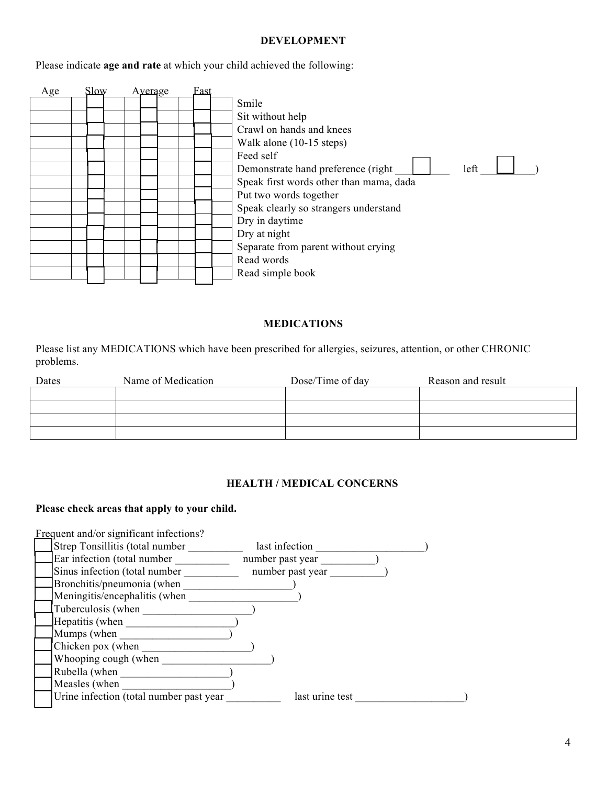#### **DEVELOPMENT**

Please indicate **age and rate** at which your child achieved the following:



### **MEDICATIONS**

Please list any MEDICATIONS which have been prescribed for allergies, seizures, attention, or other CHRONIC problems.

| Dates | Name of Medication | Dose/Time of day | Reason and result |
|-------|--------------------|------------------|-------------------|
|       |                    |                  |                   |
|       |                    |                  |                   |
|       |                    |                  |                   |
|       |                    |                  |                   |

#### **HEALTH / MEDICAL CONCERNS**

#### **Please check areas that apply to your child.**

| Frequent and/or significant infections? |                  |  |
|-----------------------------------------|------------------|--|
| Strep Tonsillitis (total number         | last infection   |  |
| Ear infection (total number             | number past year |  |
| Sinus infection (total number           | number past year |  |
| Bronchitis/pneumonia (when              |                  |  |
| Meningitis/encephalitis (when           |                  |  |
| Tuberculosis (when                      |                  |  |
| Hepatitis (when                         |                  |  |
| Mumps (when                             |                  |  |
| Chicken pox (when                       |                  |  |
| Whooping cough (when                    |                  |  |
| Rubella (when                           |                  |  |
| Measles (when                           |                  |  |
| Urine infection (total number past year | last urine test  |  |
|                                         |                  |  |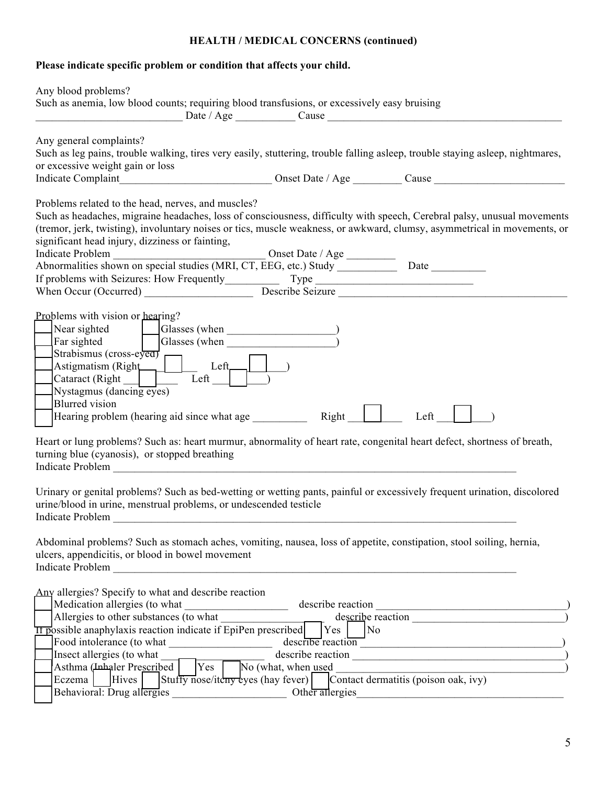# **HEALTH / MEDICAL CONCERNS (continued) Please indicate specific problem or condition that affects your child.** Any blood problems? Such as anemia, low blood counts; requiring blood transfusions, or excessively easy bruising \_\_\_\_\_\_\_\_\_\_\_\_\_\_\_\_\_\_\_\_\_\_\_\_\_\_\_ Date / Age \_\_\_\_\_\_\_\_\_\_\_ Cause \_\_\_\_\_\_\_\_\_\_\_\_\_\_\_\_\_\_\_\_\_\_\_\_\_\_\_\_\_\_\_\_\_\_\_\_\_\_\_\_\_\_\_ Any general complaints? Such as leg pains, trouble walking, tires very easily, stuttering, trouble falling asleep, trouble staying asleep, nightmares, or excessive weight gain or loss Indicate Complaint The Complaint Complaint Complaint Complaint Cause  $\frac{1}{2}$  Cause  $\frac{1}{2}$ Problems related to the head, nerves, and muscles? Such as headaches, migraine headaches, loss of consciousness, difficulty with speech, Cerebral palsy, unusual movements (tremor, jerk, twisting), involuntary noises or tics, muscle weakness, or awkward, clumsy, asymmetrical in movements, or significant head injury, dizziness or fainting, Indicate Problem and a contract of the United State / Age \_\_\_\_\_\_\_\_\_\_\_\_\_\_\_\_\_\_\_\_\_\_ Abnormalities shown on special studies (MRI, CT, EEG, etc.) Study \_\_\_\_\_\_\_\_\_\_\_\_\_\_\_\_\_\_\_ Date \_\_\_\_\_\_\_\_\_\_\_\_\_\_\_\_\_\_ If problems with Seizures: How Frequently Type Type Type Type  $\Box$ When Occur (Occurred) **Describe Seizure Describe Seizure**  $\blacksquare$ Problems with vision or hearing? [ ] Near sighted [ ] Glasses (when \_\_\_\_\_\_\_\_\_\_\_\_\_\_\_\_\_\_\_\_) Far sighted  $\qquad \qquad$  | Glasses (when  $\left|$  Strabismus (cross-eyed)  $\text{Astigmatism (Right)}$  | Left Left  $|$ Cataract (Right  $|$   $|$  Left  $|$  $Nystagmus (dancing eyes)$ **Blurred** vision Hearing problem (hearing aid since what age  $\frac{1}{\sqrt{1-\frac{1}{n}}}$  Right  $\frac{1}{\sqrt{1-\frac{1}{n}}}$  Left Heart or lung problems? Such as: heart murmur, abnormality of heart rate, congenital heart defect, shortness of breath, turning blue (cyanosis), or stopped breathing Indicate Problem Urinary or genital problems? Such as bed-wetting or wetting pants, painful or excessively frequent urination, discolored urine/blood in urine, menstrual problems, or undescended testicle Indicate Problem Abdominal problems? Such as stomach aches, vomiting, nausea, loss of appetite, constipation, stool soiling, hernia, ulcers, appendicitis, or blood in bowel movement Indicate Problem Any allergies? Specify to what and describe reaction [ ] Medication allergies (to what \_\_\_\_\_\_\_\_\_\_\_\_\_\_\_\_\_\_\_ describe reaction \_\_\_\_\_\_\_\_\_\_\_\_\_\_\_\_\_\_\_\_\_\_\_\_\_\_\_\_\_\_\_\_\_\_\_) [ ] Allergies to other substances (to what \_\_\_\_\_\_\_\_\_\_\_\_\_\_\_\_\_\_\_ describe reaction \_\_\_\_\_\_\_\_\_\_\_\_\_\_\_\_\_\_\_\_\_\_\_\_\_\_\_\_)  $\overline{II}$  possible anaphylaxis reaction indicate if EpiPen prescribed  $\begin{array}{|l|} \hline \end{array}$  Yes  $\begin{array}{|l|} \hline \end{array}$  No

Food intolerance (to what describe reaction  $\alpha$ [ ] Insect allergies (to what \_\_\_\_\_\_\_\_\_\_\_\_\_\_\_\_\_\_\_ describe reaction \_\_\_\_\_\_\_\_\_\_\_\_\_\_\_\_\_\_\_\_\_\_\_\_\_\_\_\_\_\_\_\_\_\_\_\_\_\_\_) [ Asthma (Inhaler Prescribed | | | Yes | | | No (what, when <u>used</u>  $\qquad \qquad$  ) [ ] Eczema [ ] Hives [ ] Stuffy nose/itchy eyes (hay fever) [ ] Contact dermatitis (poison oak, ivy) Behavioral: Drug allergies  $\qquad \qquad$  Other allergies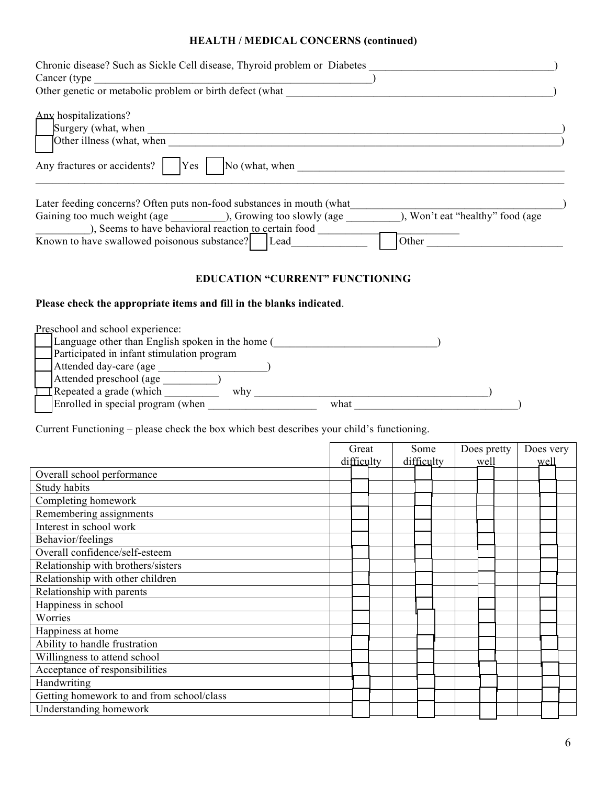## **HEALTH / MEDICAL CONCERNS (continued)**

| Chronic disease? Such as Sickle Cell disease, Thyroid problem or Diabetes<br>Cancer (type)<br>Other genetic or metabolic problem or birth defect (what                                                                                            |                                            |  |
|---------------------------------------------------------------------------------------------------------------------------------------------------------------------------------------------------------------------------------------------------|--------------------------------------------|--|
| Any hospitalizations?<br>Surgery (what, when<br>Other illness (what, when<br>$\overline{\text{No}}$ (what, when<br>Any fractures or accidents?<br>Yes                                                                                             |                                            |  |
| Later feeding concerns? Often puts non-food substances in mouth (what<br>Gaining too much weight (age ), Growing too slowly (age<br>), Seems to have behavioral reaction to certain food<br>Known to have swallowed poisonous substance?     Lead | ), Won't eat "healthy" food (age)<br>Other |  |

## **EDUCATION "CURRENT" FUNCTIONING**

### **Please check the appropriate items and fill in the blanks indicated**.

| Preschool and school experience:                 |  |
|--------------------------------------------------|--|
| Language other than English spoken in the home ( |  |
| Participated in infant stimulation program       |  |
| Attended day-care (age                           |  |
| Attended preschool (age                          |  |
| $\Gamma$ Repeated a grade (which<br>why          |  |
| Enrolled in special program (when<br>what        |  |

Current Functioning – please check the box which best describes your child's functioning.

|                                           | Great      |  | Some       |  | Does pretty |  | Does very |      |  |  |  |
|-------------------------------------------|------------|--|------------|--|-------------|--|-----------|------|--|--|--|
|                                           | difficulty |  | difficulty |  | well        |  |           | well |  |  |  |
| Overall school performance                |            |  |            |  |             |  |           |      |  |  |  |
| Study habits                              |            |  |            |  |             |  |           |      |  |  |  |
| Completing homework                       |            |  |            |  |             |  |           |      |  |  |  |
| Remembering assignments                   |            |  |            |  |             |  |           |      |  |  |  |
| Interest in school work                   |            |  |            |  |             |  |           |      |  |  |  |
| Behavior/feelings                         |            |  |            |  |             |  |           |      |  |  |  |
| Overall confidence/self-esteem            |            |  |            |  |             |  |           |      |  |  |  |
| Relationship with brothers/sisters        |            |  |            |  |             |  |           |      |  |  |  |
| Relationship with other children          |            |  |            |  |             |  |           |      |  |  |  |
| Relationship with parents                 |            |  |            |  |             |  |           |      |  |  |  |
| Happiness in school                       |            |  |            |  |             |  |           |      |  |  |  |
| Worries                                   |            |  |            |  |             |  |           |      |  |  |  |
| Happiness at home                         |            |  |            |  |             |  |           |      |  |  |  |
| Ability to handle frustration             |            |  |            |  |             |  |           |      |  |  |  |
| Willingness to attend school              |            |  |            |  |             |  |           |      |  |  |  |
| Acceptance of responsibilities            |            |  |            |  |             |  |           |      |  |  |  |
| Handwriting                               |            |  |            |  |             |  |           |      |  |  |  |
| Getting homework to and from school/class |            |  |            |  |             |  |           |      |  |  |  |
| Understanding homework                    |            |  |            |  |             |  |           |      |  |  |  |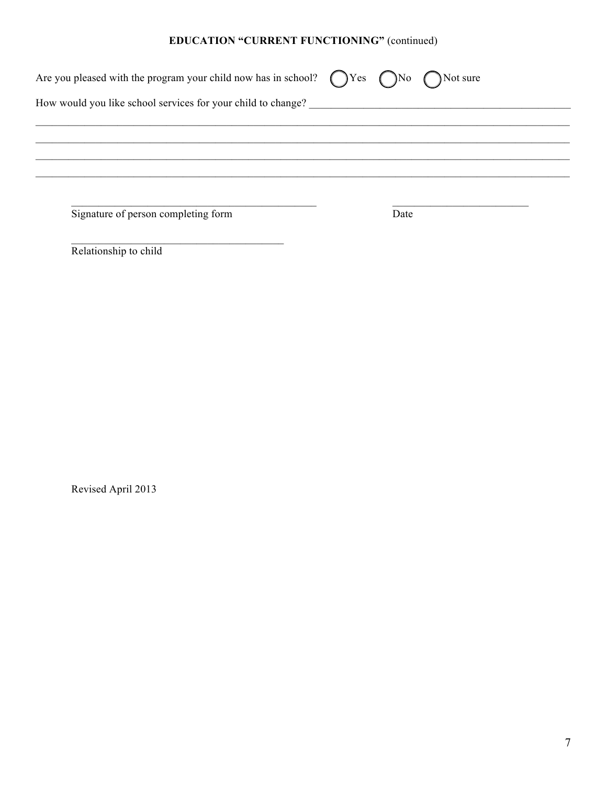# EDUCATION "CURRENT FUNCTIONING" (continued)

| Are you pleased with the program your child now has in school? $\bigcap$ Yes $\bigcap$ No $\bigcap$ Not sure |      |  |
|--------------------------------------------------------------------------------------------------------------|------|--|
| How would you like school services for your child to change?                                                 |      |  |
|                                                                                                              |      |  |
|                                                                                                              |      |  |
|                                                                                                              |      |  |
| Signature of person completing form                                                                          | Date |  |

Relationship to child

Revised April 2013